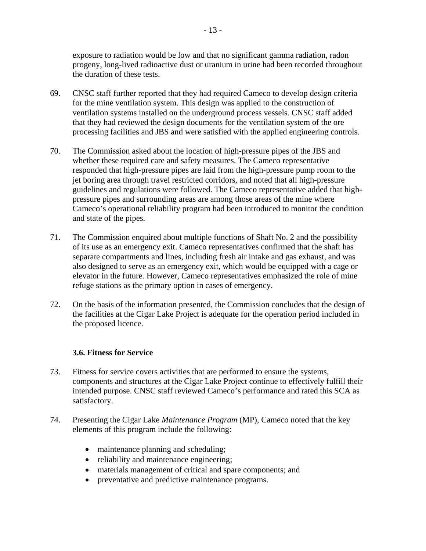exposure to radiation would be low and that no significant gamma radiation, radon progeny, long-lived radioactive dust or uranium in urine had been recorded throughout the duration of these tests.

- 69. CNSC staff further reported that they had required Cameco to develop design criteria for the mine ventilation system. This design was applied to the construction of ventilation systems installed on the underground process vessels. CNSC staff added that they had reviewed the design documents for the ventilation system of the ore processing facilities and JBS and were satisfied with the applied engineering controls.
- 70. The Commission asked about the location of high-pressure pipes of the JBS and whether these required care and safety measures. The Cameco representative responded that high-pressure pipes are laid from the high-pressure pump room to the jet boring area through travel restricted corridors, and noted that all high-pressure guidelines and regulations were followed. The Cameco representative added that highpressure pipes and surrounding areas are among those areas of the mine where Cameco's operational reliability program had been introduced to monitor the condition and state of the pipes.
- 71. The Commission enquired about multiple functions of Shaft No. 2 and the possibility of its use as an emergency exit. Cameco representatives confirmed that the shaft has separate compartments and lines, including fresh air intake and gas exhaust, and was also designed to serve as an emergency exit, which would be equipped with a cage or elevator in the future. However, Cameco representatives emphasized the role of mine refuge stations as the primary option in cases of emergency.
- 72. On the basis of the information presented, the Commission concludes that the design of the facilities at the Cigar Lake Project is adequate for the operation period included in the proposed licence.

# **3.6. Fitness for Service**

- 73. Fitness for service covers activities that are performed to ensure the systems, components and structures at the Cigar Lake Project continue to effectively fulfill their intended purpose. CNSC staff reviewed Cameco's performance and rated this SCA as satisfactory.
- 74. Presenting the Cigar Lake *Maintenance Program* (MP), Cameco noted that the key elements of this program include the following:
	- maintenance planning and scheduling;
	- reliability and maintenance engineering;
	- materials management of critical and spare components; and
	- preventative and predictive maintenance programs.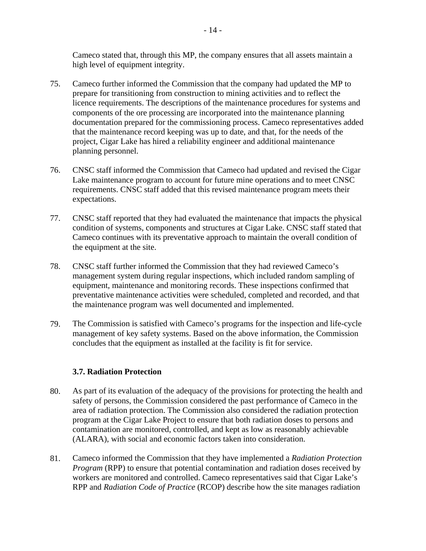Cameco stated that, through this MP, the company ensures that all assets maintain a high level of equipment integrity.

- 75. Cameco further informed the Commission that the company had updated the MP to prepare for transitioning from construction to mining activities and to reflect the licence requirements. The descriptions of the maintenance procedures for systems and components of the ore processing are incorporated into the maintenance planning documentation prepared for the commissioning process. Cameco representatives added that the maintenance record keeping was up to date, and that, for the needs of the project, Cigar Lake has hired a reliability engineer and additional maintenance planning personnel.
- 76. CNSC staff informed the Commission that Cameco had updated and revised the Cigar Lake maintenance program to account for future mine operations and to meet CNSC requirements. CNSC staff added that this revised maintenance program meets their expectations.
- the equipment at the site. 77. CNSC staff reported that they had evaluated the maintenance that impacts the physical condition of systems, components and structures at Cigar Lake. CNSC staff stated that Cameco continues with its preventative approach to maintain the overall condition of
- 78. CNSC staff further informed the Commission that they had reviewed Cameco's management system during regular inspections, which included random sampling of equipment, maintenance and monitoring records. These inspections confirmed that preventative maintenance activities were scheduled, completed and recorded, and that the maintenance program was well documented and implemented.
- 79. The Commission is satisfied with Cameco's programs for the inspection and life-cycle management of key safety systems. Based on the above information, the Commission concludes that the equipment as installed at the facility is fit for service.

# **3.7. Radiation Protection**

- 80. As part of its evaluation of the adequacy of the provisions for protecting the health and safety of persons, the Commission considered the past performance of Cameco in the area of radiation protection. The Commission also considered the radiation protection program at the Cigar Lake Project to ensure that both radiation doses to persons and contamination are monitored, controlled, and kept as low as reasonably achievable (ALARA), with social and economic factors taken into consideration.
- 81. Cameco informed the Commission that they have implemented a *Radiation Protection Program* (RPP) to ensure that potential contamination and radiation doses received by workers are monitored and controlled. Cameco representatives said that Cigar Lake's RPP and *Radiation Code of Practice* (RCOP) describe how the site manages radiation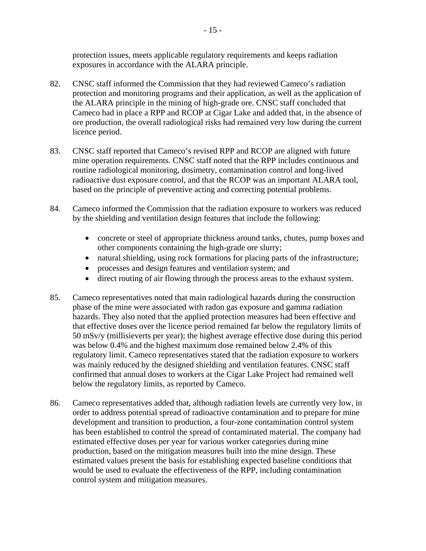protection issues, meets applicable regulatory requirements and keeps radiation exposures in accordance with the ALARA principle.

- 82. CNSC staff informed the Commission that they had reviewed Cameco's radiation protection and monitoring programs and their application, as well as the application of the ALARA principle in the mining of high-grade ore. CNSC staff concluded that Cameco had in place a RPP and RCOP at Cigar Lake and added that, in the absence of ore production, the overall radiological risks had remained very low during the current licence period.
- 83. CNSC staff reported that Cameco's revised RPP and RCOP are aligned with future mine operation requirements. CNSC staff noted that the RPP includes continuous and routine radiological monitoring, dosimetry, contamination control and long-lived radioactive dust exposure control, and that the RCOP was an important ALARA tool, based on the principle of preventive acting and correcting potential problems.
- 84. Cameco informed the Commission that the radiation exposure to workers was reduced by the shielding and ventilation design features that include the following:
	- concrete or steel of appropriate thickness around tanks, chutes, pump boxes and other components containing the high-grade ore slurry;
	- natural shielding, using rock formations for placing parts of the infrastructure;
	- processes and design features and ventilation system; and
	- direct routing of air flowing through the process areas to the exhaust system.
- 85. Cameco representatives noted that main radiological hazards during the construction phase of the mine were associated with radon gas exposure and gamma radiation hazards. They also noted that the applied protection measures had been effective and that effective doses over the licence period remained far below the regulatory limits of 50 mSv/y (millisieverts per year); the highest average effective dose during this period was below 0.4% and the highest maximum dose remained below 2.4% of this regulatory limit. Cameco representatives stated that the radiation exposure to workers was mainly reduced by the designed shielding and ventilation features. CNSC staff confirmed that annual doses to workers at the Cigar Lake Project had remained well below the regulatory limits, as reported by Cameco.
- 86. Cameco representatives added that, although radiation levels are currently very low, in order to address potential spread of radioactive contamination and to prepare for mine development and transition to production, a four-zone contamination control system has been established to control the spread of contaminated material. The company had estimated effective doses per year for various worker categories during mine production, based on the mitigation measures built into the mine design. These estimated values present the basis for establishing expected baseline conditions that would be used to evaluate the effectiveness of the RPP, including contamination control system and mitigation measures.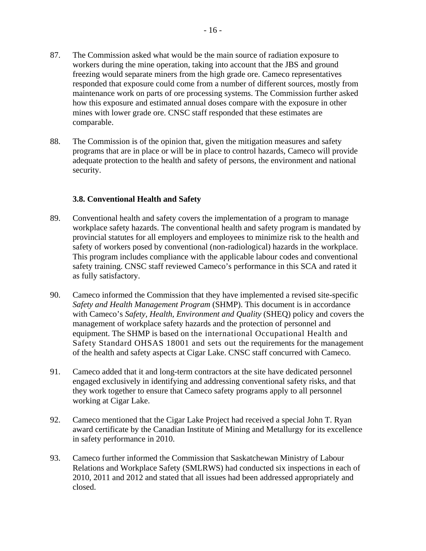- 87. The Commission asked what would be the main source of radiation exposure to workers during the mine operation, taking into account that the JBS and ground freezing would separate miners from the high grade ore. Cameco representatives responded that exposure could come from a number of different sources, mostly from maintenance work on parts of ore processing systems. The Commission further asked how this exposure and estimated annual doses compare with the exposure in other mines with lower grade ore. CNSC staff responded that these estimates are comparable.
- 88. The Commission is of the opinion that, given the mitigation measures and safety programs that are in place or will be in place to control hazards, Cameco will provide adequate protection to the health and safety of persons, the environment and national security.

## **3.8. Conventional Health and Safety**

- 89. Conventional health and safety covers the implementation of a program to manage workplace safety hazards. The conventional health and safety program is mandated by provincial statutes for all employers and employees to minimize risk to the health and safety of workers posed by conventional (non-radiological) hazards in the workplace. This program includes compliance with the applicable labour codes and conventional safety training. CNSC staff reviewed Cameco's performance in this SCA and rated it as fully satisfactory.
- equipment. The SHMP is based on the international Occupational Health and Safety Standard OHSAS 18001 and sets out the requirements for the management 90. Cameco informed the Commission that they have implemented a revised site-specific *Safety and Health Management Program* (SHMP). This document is in accordance with Cameco's *Safety, Health, Environment and Quality* (SHEQ) policy and covers the management of workplace safety hazards and the protection of personnel and of the health and safety aspects at Cigar Lake. CNSC staff concurred with Cameco.
- 91. Cameco added that it and long-term contractors at the site have dedicated personnel engaged exclusively in identifying and addressing conventional safety risks, and that they work together to ensure that Cameco safety programs apply to all personnel working at Cigar Lake.
- 92. Cameco mentioned that the Cigar Lake Project had received a special John T. Ryan award certificate by the Canadian Institute of Mining and Metallurgy for its excellence in safety performance in 2010.
- 93. Cameco further informed the Commission that Saskatchewan Ministry of Labour Relations and Workplace Safety (SMLRWS) had conducted six inspections in each of 2010, 2011 and 2012 and stated that all issues had been addressed appropriately and closed.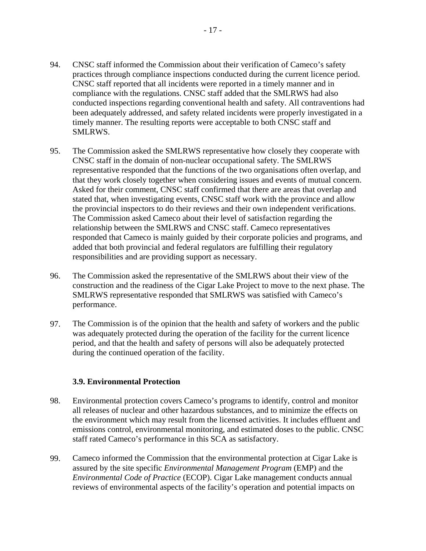- 94. CNSC staff informed the Commission about their verification of Cameco's safety practices through compliance inspections conducted during the current licence period. CNSC staff reported that all incidents were reported in a timely manner and in compliance with the regulations. CNSC staff added that the SMLRWS had also conducted inspections regarding conventional health and safety. All contraventions had been adequately addressed, and safety related incidents were properly investigated in a timely manner. The resulting reports were acceptable to both CNSC staff and SMLRWS.
- 95. The Commission asked the SMLRWS representative how closely they cooperate with CNSC staff in the domain of non-nuclear occupational safety. The SMLRWS representative responded that the functions of the two organisations often overlap, and that they work closely together when considering issues and events of mutual concern. Asked for their comment, CNSC staff confirmed that there are areas that overlap and stated that, when investigating events, CNSC staff work with the province and allow the provincial inspectors to do their reviews and their own independent verifications. The Commission asked Cameco about their level of satisfaction regarding the relationship between the SMLRWS and CNSC staff. Cameco representatives responded that Cameco is mainly guided by their corporate policies and programs, and added that both provincial and federal regulators are fulfilling their regulatory responsibilities and are providing support as necessary.
- 96. The Commission asked the representative of the SMLRWS about their view of the construction and the readiness of the Cigar Lake Project to move to the next phase. The SMLRWS representative responded that SMLRWS was satisfied with Cameco's performance.
- 97. The Commission is of the opinion that the health and safety of workers and the public was adequately protected during the operation of the facility for the current licence period, and that the health and safety of persons will also be adequately protected during the continued operation of the facility.

#### **3.9. Environmental Protection**

- 98. Environmental protection covers Cameco's programs to identify, control and monitor all releases of nuclear and other hazardous substances, and to minimize the effects on the environment which may result from the licensed activities. It includes effluent and emissions control, environmental monitoring, and estimated doses to the public. CNSC staff rated Cameco's performance in this SCA as satisfactory.
- 99. Cameco informed the Commission that the environmental protection at Cigar Lake is assured by the site specific *Environmental Management Program* (EMP) and the *Environmental Code of Practice* (ECOP). Cigar Lake management conducts annual reviews of environmental aspects of the facility's operation and potential impacts on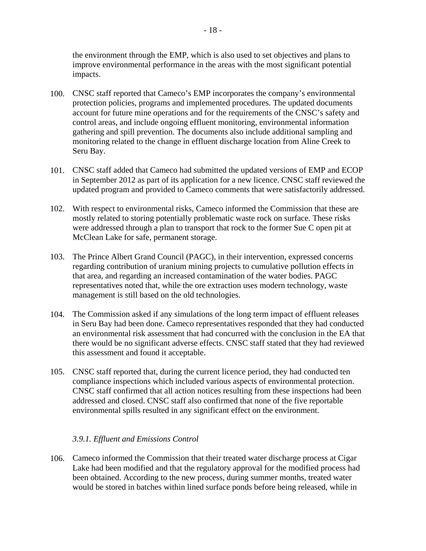the environment through the EMP, which is also used to set objectives and plans to improve environmental performance in the areas with the most significant potential impacts.

- 100. CNSC staff reported that Cameco's EMP incorporates the company's environmental protection policies, programs and implemented procedures. The updated documents account for future mine operations and for the requirements of the CNSC's safety and control areas, and include ongoing effluent monitoring, environmental information gathering and spill prevention. The documents also include additional sampling and monitoring related to the change in effluent discharge location from Aline Creek to Seru Bay.
- 101. CNSC staff added that Cameco had submitted the updated versions of EMP and ECOP in September 2012 as part of its application for a new licence. CNSC staff reviewed the updated program and provided to Cameco comments that were satisfactorily addressed.
- 102. With respect to environmental risks, Cameco informed the Commission that these are mostly related to storing potentially problematic waste rock on surface. These risks were addressed through a plan to transport that rock to the former Sue C open pit at McClean Lake for safe, permanent storage.
- 103. The Prince Albert Grand Council (PAGC), in their intervention, expressed concerns regarding contribution of uranium mining projects to cumulative pollution effects in that area, and regarding an increased contamination of the water bodies. PAGC representatives noted that, while the ore extraction uses modern technology, waste management is still based on the old technologies.
- 104. The Commission asked if any simulations of the long term impact of effluent releases in Seru Bay had been done. Cameco representatives responded that they had conducted an environmental risk assessment that had concurred with the conclusion in the EA that there would be no significant adverse effects. CNSC staff stated that they had reviewed this assessment and found it acceptable.
- 105. CNSC staff reported that, during the current licence period, they had conducted ten compliance inspections which included various aspects of environmental protection. CNSC staff confirmed that all action notices resulting from these inspections had been addressed and closed. CNSC staff also confirmed that none of the five reportable environmental spills resulted in any significant effect on the environment.

#### *3.9.1. Effluent and Emissions Control*

106. Cameco informed the Commission that their treated water discharge process at Cigar Lake had been modified and that the regulatory approval for the modified process had been obtained. According to the new process, during summer months, treated water would be stored in batches within lined surface ponds before being released, while in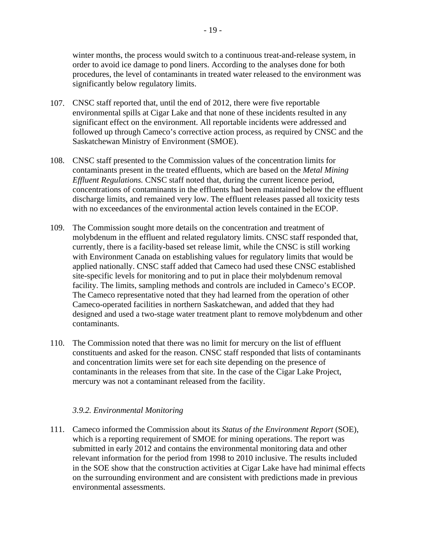winter months, the process would switch to a continuous treat-and-release system, in order to avoid ice damage to pond liners. According to the analyses done for both procedures, the level of contaminants in treated water released to the environment was significantly below regulatory limits.

- 107. CNSC staff reported that, until the end of 2012, there were five reportable environmental spills at Cigar Lake and that none of these incidents resulted in any significant effect on the environment. All reportable incidents were addressed and followed up through Cameco's corrective action process, as required by CNSC and the Saskatchewan Ministry of Environment (SMOE).
- 108. CNSC staff presented to the Commission values of the concentration limits for contaminants present in the treated effluents, which are based on the *Metal Mining Effluent Regulations.* CNSC staff noted that, during the current licence period, concentrations of contaminants in the effluents had been maintained below the effluent discharge limits, and remained very low. The effluent releases passed all toxicity tests with no exceedances of the environmental action levels contained in the ECOP.
- 109. The Commission sought more details on the concentration and treatment of molybdenum in the effluent and related regulatory limits. CNSC staff responded that, currently, there is a facility-based set release limit, while the CNSC is still working with Environment Canada on establishing values for regulatory limits that would be applied nationally. CNSC staff added that Cameco had used these CNSC established site-specific levels for monitoring and to put in place their molybdenum removal facility. The limits, sampling methods and controls are included in Cameco's ECOP. The Cameco representative noted that they had learned from the operation of other Cameco-operated facilities in northern Saskatchewan, and added that they had designed and used a two-stage water treatment plant to remove molybdenum and other contaminants.
- 110. The Commission noted that there was no limit for mercury on the list of effluent constituents and asked for the reason. CNSC staff responded that lists of contaminants and concentration limits were set for each site depending on the presence of contaminants in the releases from that site. In the case of the Cigar Lake Project, mercury was not a contaminant released from the facility.

#### *3.9.2. Environmental Monitoring*

111. Cameco informed the Commission about its *Status of the Environment Report* (SOE), which is a reporting requirement of SMOE for mining operations. The report was submitted in early 2012 and contains the environmental monitoring data and other relevant information for the period from 1998 to 2010 inclusive. The results included in the SOE show that the construction activities at Cigar Lake have had minimal effects on the surrounding environment and are consistent with predictions made in previous environmental assessments.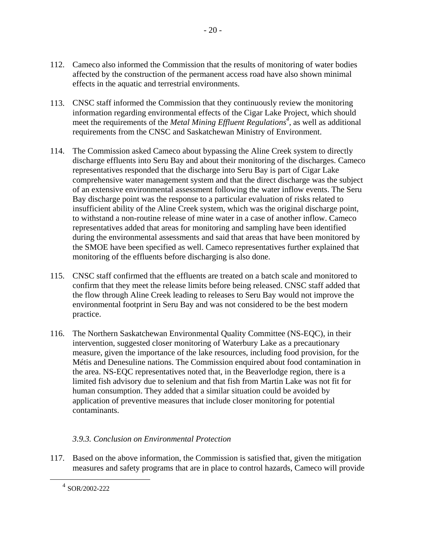- 112. Cameco also informed the Commission that the results of monitoring of water bodies affected by the construction of the permanent access road have also shown minimal effects in the aquatic and terrestrial environments.
- 113. CNSC staff informed the Commission that they continuously review the monitoring information regarding environmental effects of the Cigar Lake Project, which should meet the requirements of the *Metal Mining Effluent Regulations<sup>4</sup>*, as well as additional requirements from the CNSC and Saskatchewan Ministry of Environment.
- 114. The Commission asked Cameco about bypassing the Aline Creek system to directly discharge effluents into Seru Bay and about their monitoring of the discharges. Cameco representatives responded that the discharge into Seru Bay is part of Cigar Lake comprehensive water management system and that the direct discharge was the subject of an extensive environmental assessment following the water inflow events. The Seru Bay discharge point was the response to a particular evaluation of risks related to insufficient ability of the Aline Creek system, which was the original discharge point, to withstand a non-routine release of mine water in a case of another inflow. Cameco representatives added that areas for monitoring and sampling have been identified during the environmental assessments and said that areas that have been monitored by the SMOE have been specified as well. Cameco representatives further explained that monitoring of the effluents before discharging is also done.
- 115. CNSC staff confirmed that the effluents are treated on a batch scale and monitored to confirm that they meet the release limits before being released. CNSC staff added that the flow through Aline Creek leading to releases to Seru Bay would not improve the environmental footprint in Seru Bay and was not considered to be the best modern practice.
- 116. The Northern Saskatchewan Environmental Quality Committee (NS-EQC), in their intervention, suggested closer monitoring of Waterbury Lake as a precautionary measure, given the importance of the lake resources, including food provision, for the Métis and Denesuline nations. The Commission enquired about food contamination in the area. NS-EQC representatives noted that, in the Beaverlodge region, there is a limited fish advisory due to selenium and that fish from Martin Lake was not fit for human consumption. They added that a similar situation could be avoided by application of preventive measures that include closer monitoring for potential contaminants.

# *3.9.3. Conclusion on Environmental Protection*

117. Based on the above information, the Commission is satisfied that, given the mitigation measures and safety programs that are in place to control hazards, Cameco will provide

 $\overline{a}$ 

<sup>4</sup> SOR/2002-222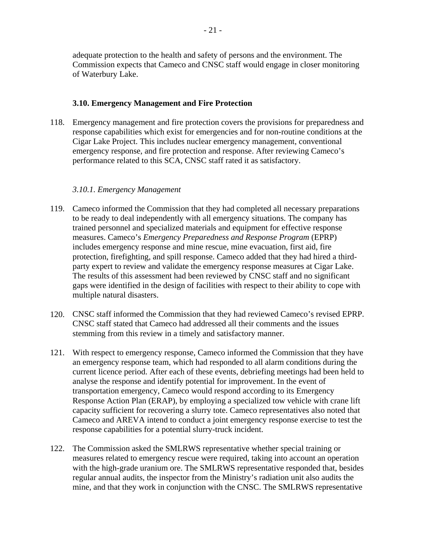adequate protection to the health and safety of persons and the environment. The Commission expects that Cameco and CNSC staff would engage in closer monitoring of Waterbury Lake.

#### **3.10. Emergency Management and Fire Protection**

118. Emergency management and fire protection covers the provisions for preparedness and response capabilities which exist for emergencies and for non-routine conditions at the Cigar Lake Project. This includes nuclear emergency management, conventional emergency response, and fire protection and response. After reviewing Cameco's performance related to this SCA, CNSC staff rated it as satisfactory.

## *3.10.1. Emergency Management*

- 119. Cameco informed the Commission that they had completed all necessary preparations to be ready to deal independently with all emergency situations. The company has trained personnel and specialized materials and equipment for effective response measures. Cameco's *Emergency Preparedness and Response Program* (EPRP) includes emergency response and mine rescue, mine evacuation, first aid, fire protection, firefighting, and spill response. Cameco added that they had hired a thirdparty expert to review and validate the emergency response measures at Cigar Lake. The results of this assessment had been reviewed by CNSC staff and no significant gaps were identified in the design of facilities with respect to their ability to cope with multiple natural disasters.
- 120. CNSC staff informed the Commission that they had reviewed Cameco's revised EPRP. CNSC staff stated that Cameco had addressed all their comments and the issues stemming from this review in a timely and satisfactory manner.
- 121. With respect to emergency response, Cameco informed the Commission that they have an emergency response team, which had responded to all alarm conditions during the current licence period. After each of these events, debriefing meetings had been held to analyse the response and identify potential for improvement. In the event of transportation emergency, Cameco would respond according to its Emergency Response Action Plan (ERAP), by employing a specialized tow vehicle with crane lift capacity sufficient for recovering a slurry tote. Cameco representatives also noted that Cameco and AREVA intend to conduct a joint emergency response exercise to test the response capabilities for a potential slurry-truck incident.
- 122. The Commission asked the SMLRWS representative whether special training or measures related to emergency rescue were required, taking into account an operation with the high-grade uranium ore. The SMLRWS representative responded that, besides regular annual audits, the inspector from the Ministry's radiation unit also audits the mine, and that they work in conjunction with the CNSC. The SMLRWS representative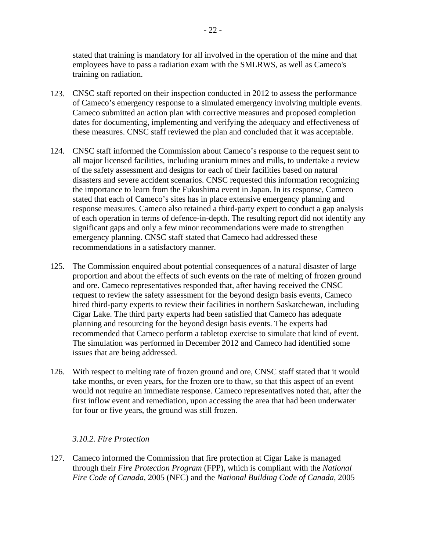stated that training is mandatory for all involved in the operation of the mine and that employees have to pass a radiation exam with the SMLRWS, as well as Cameco's training on radiation.

- 123. CNSC staff reported on their inspection conducted in 2012 to assess the performance of Cameco's emergency response to a simulated emergency involving multiple events. Cameco submitted an action plan with corrective measures and proposed completion dates for documenting, implementing and verifying the adequacy and effectiveness of these measures. CNSC staff reviewed the plan and concluded that it was acceptable.
- 124. CNSC staff informed the Commission about Cameco's response to the request sent to all major licensed facilities, including uranium mines and mills, to undertake a review of the safety assessment and designs for each of their facilities based on natural disasters and severe accident scenarios. CNSC requested this information recognizing the importance to learn from the Fukushima event in Japan. In its response, Cameco stated that each of Cameco's sites has in place extensive emergency planning and response measures. Cameco also retained a third-party expert to conduct a gap analysis of each operation in terms of defence-in-depth. The resulting report did not identify any significant gaps and only a few minor recommendations were made to strengthen emergency planning. CNSC staff stated that Cameco had addressed these recommendations in a satisfactory manner.
- 125. The Commission enquired about potential consequences of a natural disaster of large proportion and about the effects of such events on the rate of melting of frozen ground and ore. Cameco representatives responded that, after having received the CNSC request to review the safety assessment for the beyond design basis events, Cameco hired third-party experts to review their facilities in northern Saskatchewan, including Cigar Lake. The third party experts had been satisfied that Cameco has adequate planning and resourcing for the beyond design basis events. The experts had recommended that Cameco perform a tabletop exercise to simulate that kind of event. The simulation was performed in December 2012 and Cameco had identified some issues that are being addressed.
- 126. With respect to melting rate of frozen ground and ore, CNSC staff stated that it would take months, or even years, for the frozen ore to thaw, so that this aspect of an event would not require an immediate response. Cameco representatives noted that, after the first inflow event and remediation, upon accessing the area that had been underwater for four or five years, the ground was still frozen.

#### *3.10.2. Fire Protection*

127. Cameco informed the Commission that fire protection at Cigar Lake is managed through their *Fire Protection Program* (FPP), which is compliant with the *National Fire Code of Canada*, 2005 (NFC) and the *National Building Code of Canada*, 2005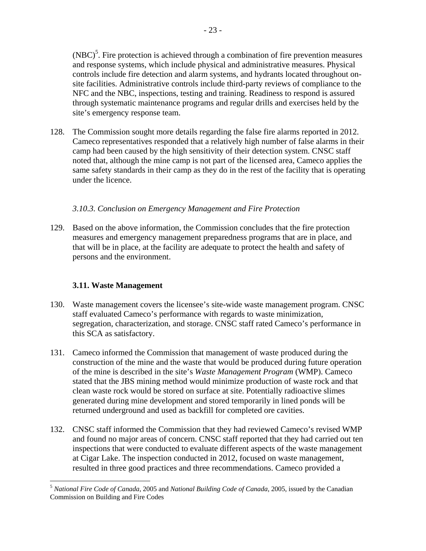$(NBC)^5$ . Fire protection is achieved through a combination of fire prevention measures and response systems, which include physical and administrative measures. Physical controls include fire detection and alarm systems, and hydrants located throughout onsite facilities. Administrative controls include third-party reviews of compliance to the NFC and the NBC, inspections, testing and training. Readiness to respond is assured through systematic maintenance programs and regular drills and exercises held by the site's emergency response team.

128. The Commission sought more details regarding the false fire alarms reported in 2012. Cameco representatives responded that a relatively high number of false alarms in their camp had been caused by the high sensitivity of their detection system. CNSC staff noted that, although the mine camp is not part of the licensed area, Cameco applies the same safety standards in their camp as they do in the rest of the facility that is operating under the licence.

# *3.10.3. Conclusion on Emergency Management and Fire Protection*

129. Based on the above information, the Commission concludes that the fire protection measures and emergency management preparedness programs that are in place, and that will be in place, at the facility are adequate to protect the health and safety of persons and the environment.

# **3.11. Waste Management**

- 130. Waste management covers the licensee's site-wide waste management program. CNSC staff evaluated Cameco's performance with regards to waste minimization, segregation, characterization, and storage. CNSC staff rated Cameco's performance in this SCA as satisfactory.
- 131. Cameco informed the Commission that management of waste produced during the construction of the mine and the waste that would be produced during future operation of the mine is described in the site's *Waste Management Program* (WMP). Cameco stated that the JBS mining method would minimize production of waste rock and that clean waste rock would be stored on surface at site. Potentially radioactive slimes generated during mine development and stored temporarily in lined ponds will be returned underground and used as backfill for completed ore cavities.
- 132. CNSC staff informed the Commission that they had reviewed Cameco's revised WMP and found no major areas of concern. CNSC staff reported that they had carried out ten inspections that were conducted to evaluate different aspects of the waste management at Cigar Lake. The inspection conducted in 2012, focused on waste management, resulted in three good practices and three recommendations. Cameco provided a

<sup>1</sup> <sup>5</sup>*National Fire Code of Canada*, 2005 and *National Building Code of Canada*, 2005, issued by the Canadian Commission on Building and Fire Codes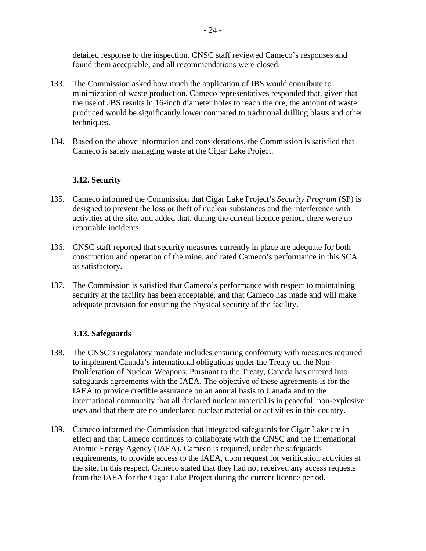detailed response to the inspection. CNSC staff reviewed Cameco's responses and found them acceptable, and all recommendations were closed.

- 133. The Commission asked how much the application of JBS would contribute to minimization of waste production. Cameco representatives responded that, given that the use of JBS results in 16-inch diameter holes to reach the ore, the amount of waste produced would be significantly lower compared to traditional drilling blasts and other techniques.
- 134. Based on the above information and considerations, the Commission is satisfied that Cameco is safely managing waste at the Cigar Lake Project.

#### **3.12. Security**

- 135. Cameco informed the Commission that Cigar Lake Project's *Security Program* (SP) is designed to prevent the loss or theft of nuclear substances and the interference with activities at the site, and added that, during the current licence period, there were no reportable incidents.
- 136. CNSC staff reported that security measures currently in place are adequate for both construction and operation of the mine, and rated Cameco's performance in this SCA as satisfactory.
- 137. The Commission is satisfied that Cameco's performance with respect to maintaining security at the facility has been acceptable, and that Cameco has made and will make adequate provision for ensuring the physical security of the facility.

#### **3.13. Safeguards**

- 138. The CNSC's regulatory mandate includes ensuring conformity with measures required to implement Canada's international obligations under the Treaty on the Non-Proliferation of Nuclear Weapons. Pursuant to the Treaty, Canada has entered into safeguards agreements with the IAEA. The objective of these agreements is for the IAEA to provide credible assurance on an annual basis to Canada and to the international community that all declared nuclear material is in peaceful, non-explosive uses and that there are no undeclared nuclear material or activities in this country.
- 139. Cameco informed the Commission that integrated safeguards for Cigar Lake are in effect and that Cameco continues to collaborate with the CNSC and the International Atomic Energy Agency (IAEA). Cameco is required, under the safeguards requirements, to provide access to the IAEA, upon request for verification activities at the site. In this respect, Cameco stated that they had not received any access requests from the IAEA for the Cigar Lake Project during the current licence period.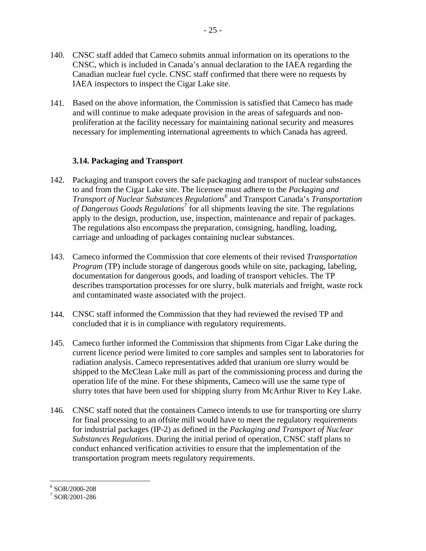- 140. CNSC staff added that Cameco submits annual information on its operations to the CNSC, which is included in Canada's annual declaration to the IAEA regarding the Canadian nuclear fuel cycle. CNSC staff confirmed that there were no requests by IAEA inspectors to inspect the Cigar Lake site.
- 141. Based on the above information, the Commission is satisfied that Cameco has made and will continue to make adequate provision in the areas of safeguards and nonproliferation at the facility necessary for maintaining national security and measures necessary for implementing international agreements to which Canada has agreed.

# **3.14. Packaging and Transport**

- 142. Packaging and transport covers the safe packaging and transport of nuclear substances to and from the Cigar Lake site. The licensee must adhere to the *Packaging and Transport of Nuclear Substances Regulations6* and Transport Canada's *Transportation*  of Dangerous Goods Regulations<sup>7</sup> for all shipments leaving the site. The regulations apply to the design, production, use, inspection, maintenance and repair of packages. The regulations also encompass the preparation, consigning, handling, loading, carriage and unloading of packages containing nuclear substances.
- 143. Cameco informed the Commission that core elements of their revised *Transportation Program* (TP) include storage of dangerous goods while on site, packaging, labeling, documentation for dangerous goods, and loading of transport vehicles. The TP describes transportation processes for ore slurry, bulk materials and freight, waste rock and contaminated waste associated with the project.
- 144. CNSC staff informed the Commission that they had reviewed the revised TP and concluded that it is in compliance with regulatory requirements.
- 145. Cameco further informed the Commission that shipments from Cigar Lake during the current licence period were limited to core samples and samples sent to laboratories for radiation analysis. Cameco representatives added that uranium ore slurry would be shipped to the McClean Lake mill as part of the commissioning process and during the operation life of the mine. For these shipments, Cameco will use the same type of slurry totes that have been used for shipping slurry from McArthur River to Key Lake.
- 146. CNSC staff noted that the containers Cameco intends to use for transporting ore slurry for final processing to an offsite mill would have to meet the regulatory requirements for industrial packages (IP-2) as defined in the *Packaging and Transport of Nuclear Substances Regulations*. During the initial period of operation, CNSC staff plans to conduct enhanced verification activities to ensure that the implementation of the transportation program meets regulatory requirements.

1

<sup>6</sup> SOR/2000-208

<sup>7</sup> SOR/2001-286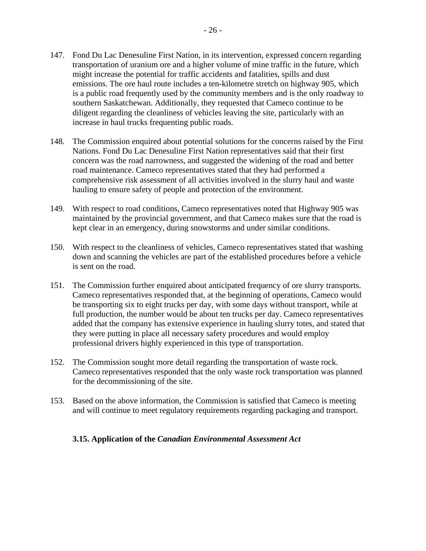- southern Saskatchewan. Additionally, they requested that Cameco continue to be diligent regarding the cleanliness of vehicles leaving the site, particularly with an increase in haul trucks frequenting public roads.
- 148. The Commission enquired about potential solutions for the concerns raised by the First Nations. Fond Du Lac Denesuline First Nation representatives said that their first concern was the road narrowness, and suggested the widening of the road and better road maintenance. Cameco representatives stated that they had performed a comprehensive risk assessment of all activities involved in the slurry haul and waste hauling to ensure safety of people and protection of the environment.
- 149. With respect to road conditions, Cameco representatives noted that Highway 905 was maintained by the provincial government, and that Cameco makes sure that the road is kept clear in an emergency, during snowstorms and under similar conditions.
- 150. With respect to the cleanliness of vehicles, Cameco representatives stated that washing down and scanning the vehicles are part of the established procedures before a vehicle is sent on the road.
- 151. The Commission further enquired about anticipated frequency of ore slurry transports. Cameco representatives responded that, at the beginning of operations, Cameco would be transporting six to eight trucks per day, with some days without transport, while at full production, the number would be about ten trucks per day. Cameco representatives added that the company has extensive experience in hauling slurry totes, and stated that they were putting in place all necessary safety procedures and would employ professional drivers highly experienced in this type of transportation.
- 152. The Commission sought more detail regarding the transportation of waste rock. Cameco representatives responded that the only waste rock transportation was planned for the decommissioning of the site.
- and will continue to meet regulatory requirements regarding packaging and transport. 153. Based on the above information, the Commission is satisfied that Cameco is meeting

#### **3.15. Application of the** *Canadian Environmental Assessment Act*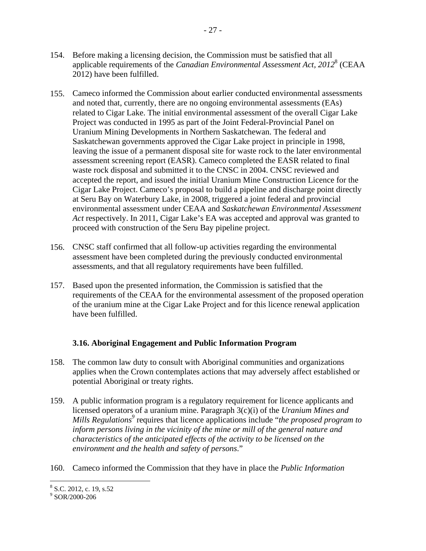- 154. Before making a licensing decision, the Commission must be satisfied that all applicable requirements of the *Canadian Environmental Assessment Act, 2012*8 (CEAA 2012) have been fulfilled.
- 155. Cameco informed the Commission about earlier conducted environmental assessments and noted that, currently, there are no ongoing environmental assessments (EAs) related to Cigar Lake. The initial environmental assessment of the overall Cigar Lake Project was conducted in 1995 as part of the Joint Federal-Provincial Panel on Uranium Mining Developments in Northern Saskatchewan. The federal and Saskatchewan governments approved the Cigar Lake project in principle in 1998, leaving the issue of a permanent disposal site for waste rock to the later environmental assessment screening report (EASR). Cameco completed the EASR related to final waste rock disposal and submitted it to the CNSC in 2004. CNSC reviewed and accepted the report, and issued the initial Uranium Mine Construction Licence for the Cigar Lake Project. Cameco's proposal to build a pipeline and discharge point directly at Seru Bay on Waterbury Lake, in 2008, triggered a joint federal and provincial environmental assessment under CEAA and *Saskatchewan Environmental Assessment Act* respectively. In 2011, Cigar Lake's EA was accepted and approval was granted to proceed with construction of the Seru Bay pipeline project.
- 156. CNSC staff confirmed that all follow-up activities regarding the environmental assessment have been completed during the previously conducted environmental assessments, and that all regulatory requirements have been fulfilled.
- 157. Based upon the presented information, the Commission is satisfied that the requirements of the CEAA for the environmental assessment of the proposed operation of the uranium mine at the Cigar Lake Project and for this licence renewal application have been fulfilled.

# **3.16. Aboriginal Engagement and Public Information Program**

- 158. The common law duty to consult with Aboriginal communities and organizations applies when the Crown contemplates actions that may adversely affect established or potential Aboriginal or treaty rights.
- 159. A public information program is a regulatory requirement for licence applicants and licensed operators of a uranium mine. Paragraph 3(c)(i) of the *Uranium Mines and Mills Regulations* requires that licence applications include "*the proposed program to inform persons living in the vicinity of the mine or mill of the general nature and characteristics of the anticipated effects of the activity to be licensed on the environment and the health and safety of persons*."
- 160. Cameco informed the Commission that they have in place the *Public Information*

 $8$  S.C. 2012, c. 19, s.52

<sup>9</sup> SOR/2000-206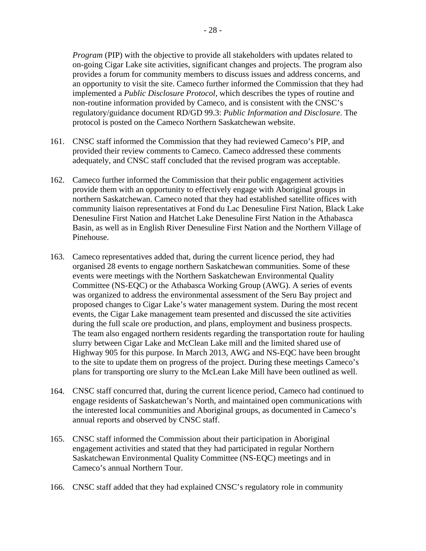*Program* (PIP) with the objective to provide all stakeholders with updates related to on-going Cigar Lake site activities, significant changes and projects. The program also provides a forum for community members to discuss issues and address concerns, and an opportunity to visit the site. Cameco further informed the Commission that they had implemented a *Public Disclosure Protocol*, which describes the types of routine and non-routine information provided by Cameco, and is consistent with the CNSC's regulatory/guidance document RD/GD 99.3: *Public Information and Disclosure*. The protocol is posted on the Cameco Northern Saskatchewan website.

- 161. CNSC staff informed the Commission that they had reviewed Cameco's PIP, and provided their review comments to Cameco. Cameco addressed these comments adequately, and CNSC staff concluded that the revised program was acceptable.
- 162. Cameco further informed the Commission that their public engagement activities provide them with an opportunity to effectively engage with Aboriginal groups in northern Saskatchewan. Cameco noted that they had established satellite offices with community liaison representatives at Fond du Lac Denesuline First Nation, Black Lake Denesuline First Nation and Hatchet Lake Denesuline First Nation in the Athabasca Basin, as well as in English River Denesuline First Nation and the Northern Village of Pinehouse.
- 163. Cameco representatives added that, during the current licence period, they had organised 28 events to engage northern Saskatchewan communities. Some of these events were meetings with the Northern Saskatchewan Environmental Quality Committee (NS-EQC) or the Athabasca Working Group (AWG). A series of events was organized to address the environmental assessment of the Seru Bay project and proposed changes to Cigar Lake's water management system. During the most recent events, the Cigar Lake management team presented and discussed the site activities during the full scale ore production, and plans, employment and business prospects. The team also engaged northern residents regarding the transportation route for hauling slurry between Cigar Lake and McClean Lake mill and the limited shared use of Highway 905 for this purpose. In March 2013, AWG and NS-EQC have been brought to the site to update them on progress of the project. During these meetings Cameco's plans for transporting ore slurry to the McLean Lake Mill have been outlined as well.
- 164. CNSC staff concurred that, during the current licence period, Cameco had continued to engage residents of Saskatchewan's North, and maintained open communications with the interested local communities and Aboriginal groups, as documented in Cameco's annual reports and observed by CNSC staff.
- 165. CNSC staff informed the Commission about their participation in Aboriginal engagement activities and stated that they had participated in regular Northern Saskatchewan Environmental Quality Committee (NS-EQC) meetings and in Cameco's annual Northern Tour.
- 166. CNSC staff added that they had explained CNSC's regulatory role in community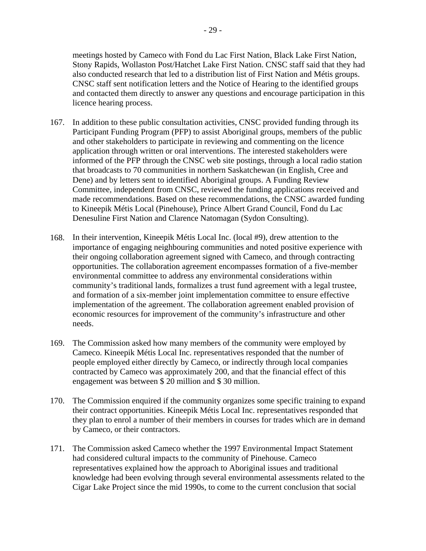meetings hosted by Cameco with Fond du Lac First Nation, Black Lake First Nation, Stony Rapids, Wollaston Post/Hatchet Lake First Nation. CNSC staff said that they had also conducted research that led to a distribution list of First Nation and Métis groups. CNSC staff sent notification letters and the Notice of Hearing to the identified groups and contacted them directly to answer any questions and encourage participation in this licence hearing process.

- 167. In addition to these public consultation activities, CNSC provided funding through its Participant Funding Program (PFP) to assist Aboriginal groups, members of the public and other stakeholders to participate in reviewing and commenting on the licence application through written or oral interventions. The interested stakeholders were informed of the PFP through the CNSC web site postings, through a local radio station that broadcasts to 70 communities in northern Saskatchewan (in English, Cree and Dene) and by letters sent to identified Aboriginal groups. A Funding Review Committee, independent from CNSC, reviewed the funding applications received and made recommendations. Based on these recommendations, the CNSC awarded funding to Kineepik Métis Local (Pinehouse), Prince Albert Grand Council, Fond du Lac Denesuline First Nation and Clarence Natomagan (Sydon Consulting).
- 168. In their intervention, Kineepik Métis Local Inc. (local #9), drew attention to the importance of engaging neighbouring communities and noted positive experience with their ongoing collaboration agreement signed with Cameco, and through contracting opportunities. The collaboration agreement encompasses formation of a five-member environmental committee to address any environmental considerations within community's traditional lands, formalizes a trust fund agreement with a legal trustee, and formation of a six-member joint implementation committee to ensure effective implementation of the agreement. The collaboration agreement enabled provision of economic resources for improvement of the community's infrastructure and other needs.
- 169. The Commission asked how many members of the community were employed by Cameco. Kineepik Métis Local Inc. representatives responded that the number of people employed either directly by Cameco, or indirectly through local companies contracted by Cameco was approximately 200, and that the financial effect of this engagement was between \$ 20 million and \$ 30 million.
- 170. The Commission enquired if the community organizes some specific training to expand their contract opportunities. Kineepik Métis Local Inc. representatives responded that they plan to enrol a number of their members in courses for trades which are in demand by Cameco, or their contractors.
- 171. The Commission asked Cameco whether the 1997 Environmental Impact Statement had considered cultural impacts to the community of Pinehouse. Cameco representatives explained how the approach to Aboriginal issues and traditional knowledge had been evolving through several environmental assessments related to the Cigar Lake Project since the mid 1990s, to come to the current conclusion that social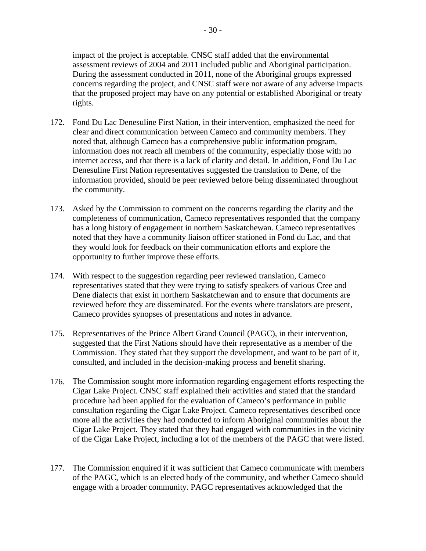impact of the project is acceptable. CNSC staff added that the environmental assessment reviews of 2004 and 2011 included public and Aboriginal participation. During the assessment conducted in 2011, none of the Aboriginal groups expressed concerns regarding the project, and CNSC staff were not aware of any adverse impacts that the proposed project may have on any potential or established Aboriginal or treaty rights.

- 172. Fond Du Lac Denesuline First Nation, in their intervention, emphasized the need for clear and direct communication between Cameco and community members. They noted that, although Cameco has a comprehensive public information program, information does not reach all members of the community, especially those with no internet access, and that there is a lack of clarity and detail. In addition, Fond Du Lac Denesuline First Nation representatives suggested the translation to Dene, of the information provided, should be peer reviewed before being disseminated throughout the community.
- 173. Asked by the Commission to comment on the concerns regarding the clarity and the completeness of communication, Cameco representatives responded that the company has a long history of engagement in northern Saskatchewan. Cameco representatives noted that they have a community liaison officer stationed in Fond du Lac, and that they would look for feedback on their communication efforts and explore the opportunity to further improve these efforts.
- 174. With respect to the suggestion regarding peer reviewed translation, Cameco representatives stated that they were trying to satisfy speakers of various Cree and Dene dialects that exist in northern Saskatchewan and to ensure that documents are reviewed before they are disseminated. For the events where translators are present, Cameco provides synopses of presentations and notes in advance.
- 175. Representatives of the Prince Albert Grand Council (PAGC), in their intervention, suggested that the First Nations should have their representative as a member of the Commission. They stated that they support the development, and want to be part of it, consulted, and included in the decision-making process and benefit sharing.
- 176. The Commission sought more information regarding engagement efforts respecting the Cigar Lake Project. CNSC staff explained their activities and stated that the standard procedure had been applied for the evaluation of Cameco's performance in public consultation regarding the Cigar Lake Project. Cameco representatives described once more all the activities they had conducted to inform Aboriginal communities about the Cigar Lake Project. They stated that they had engaged with communities in the vicinity of the Cigar Lake Project, including a lot of the members of the PAGC that were listed.
- 177. The Commission enquired if it was sufficient that Cameco communicate with members of the PAGC, which is an elected body of the community, and whether Cameco should engage with a broader community. PAGC representatives acknowledged that the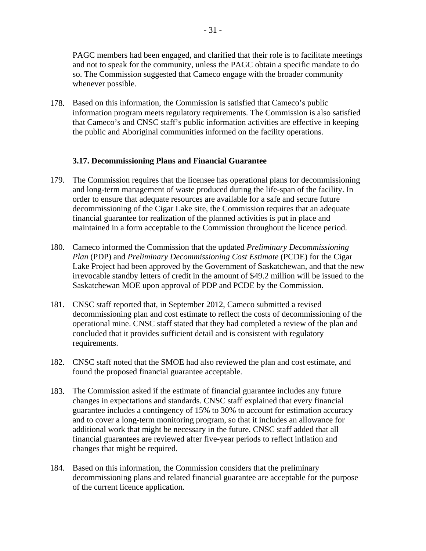PAGC members had been engaged, and clarified that their role is to facilitate meetings and not to speak for the community, unless the PAGC obtain a specific mandate to do so. The Commission suggested that Cameco engage with the broader community whenever possible.

178. Based on this information, the Commission is satisfied that Cameco's public information program meets regulatory requirements. The Commission is also satisfied that Cameco's and CNSC staff's public information activities are effective in keeping the public and Aboriginal communities informed on the facility operations.

#### **3.17. Decommissioning Plans and Financial Guarantee**

- 179. The Commission requires that the licensee has operational plans for decommissioning and long-term management of waste produced during the life-span of the facility. In order to ensure that adequate resources are available for a safe and secure future decommissioning of the Cigar Lake site, the Commission requires that an adequate financial guarantee for realization of the planned activities is put in place and maintained in a form acceptable to the Commission throughout the licence period.
- 180. Cameco informed the Commission that the updated *Preliminary Decommissioning Plan (PDP)* and *Preliminary Decommissioning Cost Estimate (PCDE)* for the Cigar Lake Project had been approved by the Government of Saskatchewan, and that the new irrevocable standby letters of credit in the amount of \$49.2 million will be issued to the Saskatchewan MOE upon approval of PDP and PCDE by the Commission.
- 181. CNSC staff reported that, in September 2012, Cameco submitted a revised decommissioning plan and cost estimate to reflect the costs of decommissioning of the operational mine. CNSC staff stated that they had completed a review of the plan and concluded that it provides sufficient detail and is consistent with regulatory requirements.
- 182. CNSC staff noted that the SMOE had also reviewed the plan and cost estimate, and found the proposed financial guarantee acceptable.
- 183. The Commission asked if the estimate of financial guarantee includes any future changes in expectations and standards. CNSC staff explained that every financial guarantee includes a contingency of 15% to 30% to account for estimation accuracy and to cover a long-term monitoring program, so that it includes an allowance for additional work that might be necessary in the future. CNSC staff added that all financial guarantees are reviewed after five-year periods to reflect inflation and changes that might be required.
- 184. Based on this information, the Commission considers that the preliminary decommissioning plans and related financial guarantee are acceptable for the purpose of the current licence application.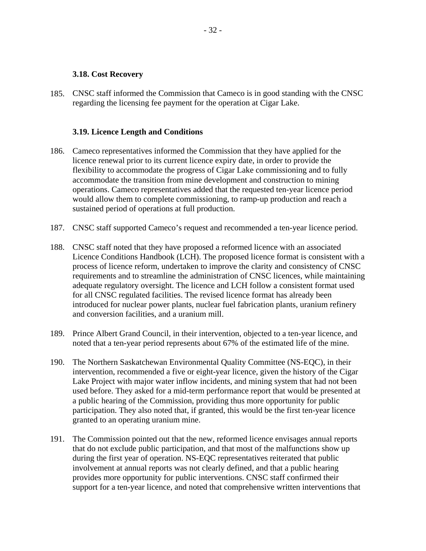#### **3.18. Cost Recovery**

185. CNSC staff informed the Commission that Cameco is in good standing with the CNSC regarding the licensing fee payment for the operation at Cigar Lake.

#### **3.19. Licence Length and Conditions**

- 186. Cameco representatives informed the Commission that they have applied for the licence renewal prior to its current licence expiry date, in order to provide the flexibility to accommodate the progress of Cigar Lake commissioning and to fully accommodate the transition from mine development and construction to mining operations. Cameco representatives added that the requested ten-year licence period would allow them to complete commissioning, to ramp-up production and reach a sustained period of operations at full production.
- 187. CNSC staff supported Cameco's request and recommended a ten-year licence period.
- 188. CNSC staff noted that they have proposed a reformed licence with an associated Licence Conditions Handbook (LCH). The proposed licence format is consistent with a process of licence reform, undertaken to improve the clarity and consistency of CNSC requirements and to streamline the administration of CNSC licences, while maintaining adequate regulatory oversight. The licence and LCH follow a consistent format used for all CNSC regulated facilities. The revised licence format has already been introduced for nuclear power plants, nuclear fuel fabrication plants, uranium refinery and conversion facilities, and a uranium mill.
- 189. Prince Albert Grand Council, in their intervention, objected to a ten-year licence, and noted that a ten-year period represents about 67% of the estimated life of the mine.
- 190. The Northern Saskatchewan Environmental Quality Committee (NS-EQC), in their intervention, recommended a five or eight-year licence, given the history of the Cigar Lake Project with major water inflow incidents, and mining system that had not been used before. They asked for a mid-term performance report that would be presented at a public hearing of the Commission, providing thus more opportunity for public participation. They also noted that, if granted, this would be the first ten-year licence granted to an operating uranium mine.
- 191. The Commission pointed out that the new, reformed licence envisages annual reports that do not exclude public participation, and that most of the malfunctions show up during the first year of operation. NS-EQC representatives reiterated that public involvement at annual reports was not clearly defined, and that a public hearing provides more opportunity for public interventions. CNSC staff confirmed their support for a ten-year licence, and noted that comprehensive written interventions that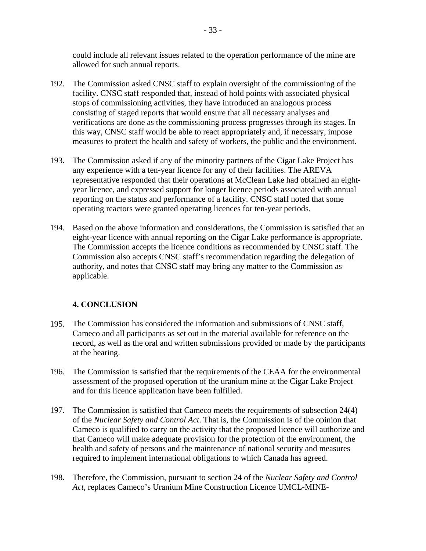could include all relevant issues related to the operation performance of the mine are allowed for such annual reports.

- 192. The Commission asked CNSC staff to explain oversight of the commissioning of the facility. CNSC staff responded that, instead of hold points with associated physical stops of commissioning activities, they have introduced an analogous process consisting of staged reports that would ensure that all necessary analyses and verifications are done as the commissioning process progresses through its stages. In this way, CNSC staff would be able to react appropriately and, if necessary, impose measures to protect the health and safety of workers, the public and the environment.
- 193. The Commission asked if any of the minority partners of the Cigar Lake Project has any experience with a ten-year licence for any of their facilities. The AREVA representative responded that their operations at McClean Lake had obtained an eightyear licence, and expressed support for longer licence periods associated with annual reporting on the status and performance of a facility. CNSC staff noted that some operating reactors were granted operating licences for ten-year periods.
- 194. Based on the above information and considerations, the Commission is satisfied that an eight-year licence with annual reporting on the Cigar Lake performance is appropriate. The Commission accepts the licence conditions as recommended by CNSC staff. The Commission also accepts CNSC staff's recommendation regarding the delegation of authority, and notes that CNSC staff may bring any matter to the Commission as applicable.

# **4. CONCLUSION**

- 195. The Commission has considered the information and submissions of CNSC staff, Cameco and all participants as set out in the material available for reference on the record, as well as the oral and written submissions provided or made by the participants at the hearing.
- 196. The Commission is satisfied that the requirements of the CEAA for the environmental assessment of the proposed operation of the uranium mine at the Cigar Lake Project and for this licence application have been fulfilled.
- 197. The Commission is satisfied that Cameco meets the requirements of subsection 24(4) of the *Nuclear Safety and Control Act*. That is, the Commission is of the opinion that Cameco is qualified to carry on the activity that the proposed licence will authorize and that Cameco will make adequate provision for the protection of the environment, the health and safety of persons and the maintenance of national security and measures required to implement international obligations to which Canada has agreed.
- 198. Therefore, the Commission, pursuant to section 24 of the *Nuclear Safety and Control Act*, replaces Cameco's Uranium Mine Construction Licence UMCL-MINE